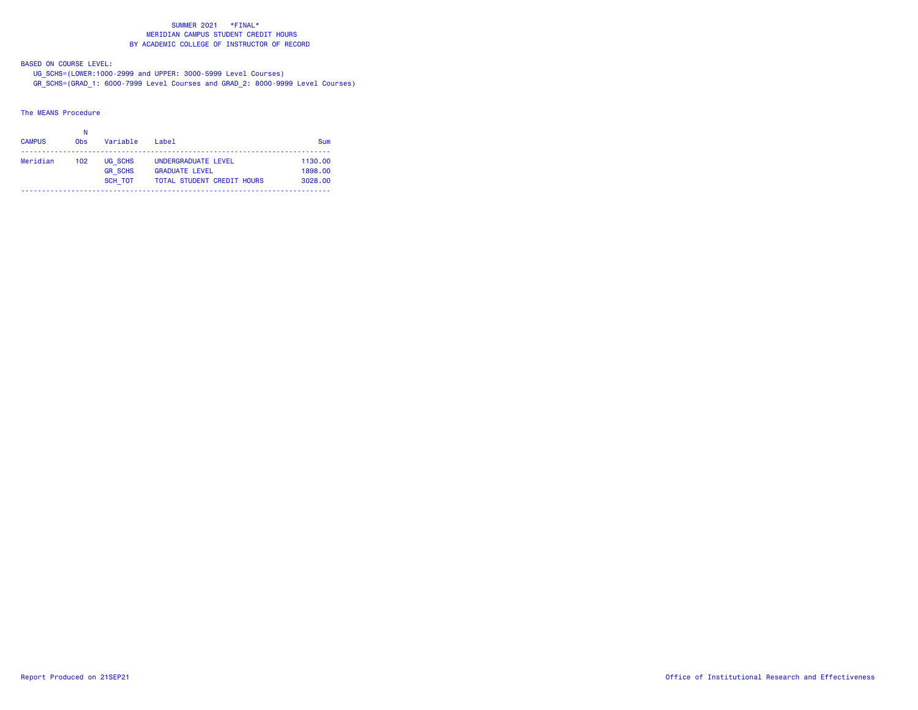BASED ON COURSE LEVEL:

UG\_SCHS=(LOWER:1000-2999 and UPPER: 3000-5999 Level Courses)

GR\_SCHS=(GRAD\_1: 6000-7999 Level Courses and GRAD\_2: 8000-9999 Level Courses)

# The MEANS Procedure

| <b>CAMPUS</b> | N<br><b>Obs</b> | Variable       | $I$ ahe $I$                       | Sum     |
|---------------|-----------------|----------------|-----------------------------------|---------|
| Meridian      | 102             | UG SCHS        | UNDERGRADUATE LEVEL               | 1130.00 |
|               |                 | <b>GR SCHS</b> | <b>GRADUATE LEVEL</b>             | 1898.00 |
|               |                 | <b>SCH TOT</b> | <b>TOTAL STUDENT CREDIT HOURS</b> | 3028.00 |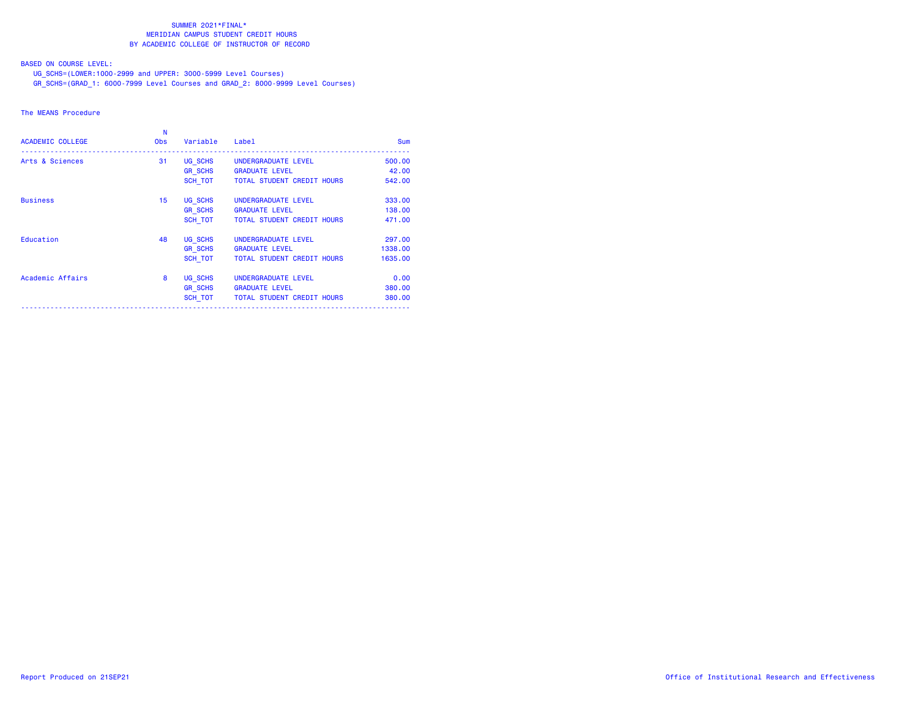BASED ON COURSE LEVEL:

UG\_SCHS=(LOWER:1000-2999 and UPPER: 3000-5999 Level Courses)

GR\_SCHS=(GRAD\_1: 6000-7999 Level Courses and GRAD\_2: 8000-9999 Level Courses)

### The MEANS Procedure

| <b>ACADEMIC COLLEGE</b> | N<br><b>Obs</b> | Variable       | Label                             | <b>Sum</b> |
|-------------------------|-----------------|----------------|-----------------------------------|------------|
| Arts & Sciences         | 31              | UG SCHS        | UNDERGRADUATE LEVEL               | 500.00     |
|                         |                 | <b>GR SCHS</b> | <b>GRADUATE LEVEL</b>             | 42.00      |
|                         |                 | SCH TOT        | <b>TOTAL STUDENT CREDIT HOURS</b> | 542.00     |
| <b>Business</b>         | 15              | UG SCHS        | UNDERGRADUATE LEVEL               | 333,00     |
|                         |                 | <b>GR SCHS</b> | <b>GRADUATE LEVEL</b>             | 138,00     |
|                         |                 | SCH TOT        | <b>TOTAL STUDENT CREDIT HOURS</b> | 471.00     |
| Education               | 48              | UG SCHS        | UNDERGRADUATE LEVEL               | 297.00     |
|                         |                 | <b>GR SCHS</b> | <b>GRADUATE LEVEL</b>             | 1338,00    |
|                         |                 | SCH TOT        | <b>TOTAL STUDENT CREDIT HOURS</b> | 1635,00    |
| Academic Affairs        | 8               | UG SCHS        | UNDERGRADUATE LEVEL               | 0.00       |
|                         |                 | <b>GR SCHS</b> | <b>GRADUATE LEVEL</b>             | 380,00     |
|                         |                 | SCH_TOT        | TOTAL STUDENT CREDIT HOURS        | 380,00     |
|                         |                 |                |                                   |            |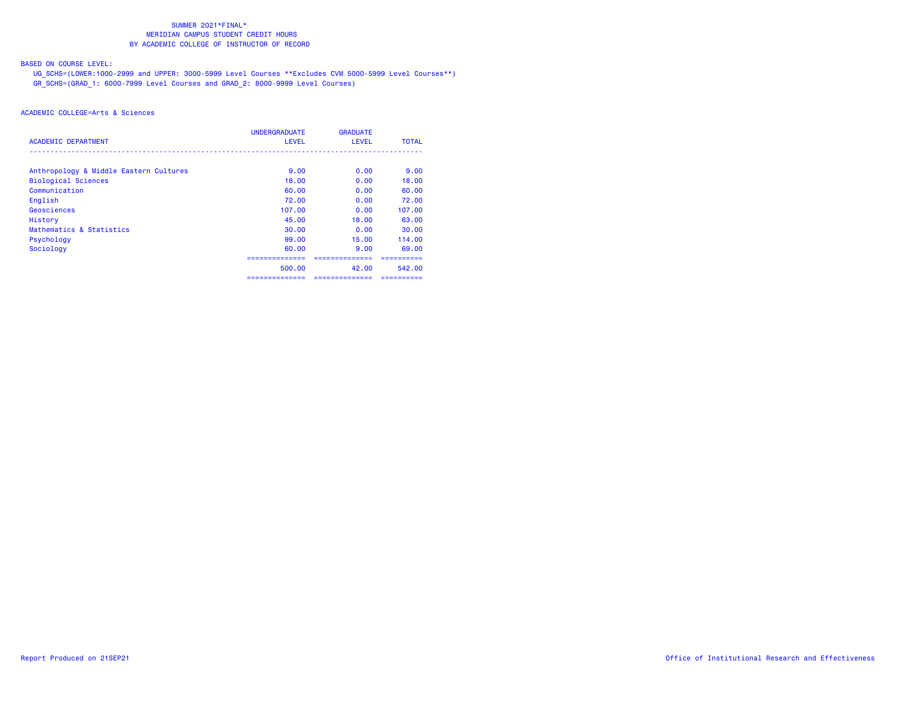BASED ON COURSE LEVEL:

 UG\_SCHS=(LOWER:1000-2999 and UPPER: 3000-5999 Level Courses \*\*Excludes CVM 5000-5999 Level Courses\*\*) GR\_SCHS=(GRAD\_1: 6000-7999 Level Courses and GRAD\_2: 8000-9999 Level Courses)

| ACADEMIC DEPARTMENT                    | <b>UNDERGRADUATE</b><br><b>LEVEL</b> | <b>GRADUATE</b><br><b>LEVEL</b> | <b>TOTAL</b> |
|----------------------------------------|--------------------------------------|---------------------------------|--------------|
|                                        |                                      |                                 |              |
| Anthropology & Middle Eastern Cultures | 9.00                                 | 0.00                            | 9.00         |
| <b>Biological Sciences</b>             | 18.00                                | 0.00                            | 18.00        |
| Communication                          | 60.00                                | 0.00                            | 60.00        |
| English                                | 72.00                                | 0.00                            | 72.00        |
| Geosciences                            | 107.00                               | 0.00                            | 107.00       |
| History                                | 45.00                                | 18.00                           | 63.00        |
| Mathematics & Statistics               | 30.00                                | 0.00                            | 30.00        |
| Psychology                             | 99.00                                | 15.00                           | 114.00       |
| Sociology                              | 60.00                                | 9.00                            | 69.00        |
|                                        | --------------                       |                                 |              |
|                                        | 500.00                               | 42.00                           | 542.00       |
|                                        | ==============                       | ==============                  | ==========   |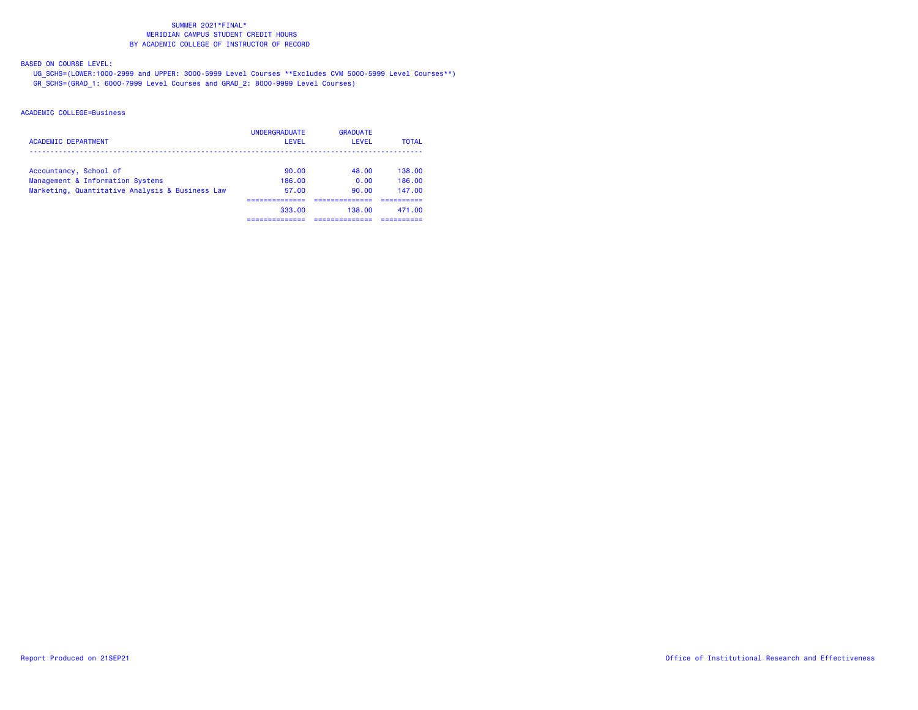BASED ON COURSE LEVEL:

 UG\_SCHS=(LOWER:1000-2999 and UPPER: 3000-5999 Level Courses \*\*Excludes CVM 5000-5999 Level Courses\*\*) GR\_SCHS=(GRAD\_1: 6000-7999 Level Courses and GRAD\_2: 8000-9999 Level Courses)

| <b>ACADEMIC DEPARTMENT</b>                      | <b>UNDERGRADUATE</b><br>LEVEL | <b>GRADUATE</b><br>LEVEL | <b>TOTAL</b> |
|-------------------------------------------------|-------------------------------|--------------------------|--------------|
| Accountancy, School of                          | 90.00                         | 48.00                    | 138.00       |
| Management & Information Systems                | 186.00                        | 0.00                     | 186.00       |
| Marketing, Quantitative Analysis & Business Law | 57.00                         | 90.00                    | 147.00       |
|                                                 | 333.00                        | 138.00                   | 471.00       |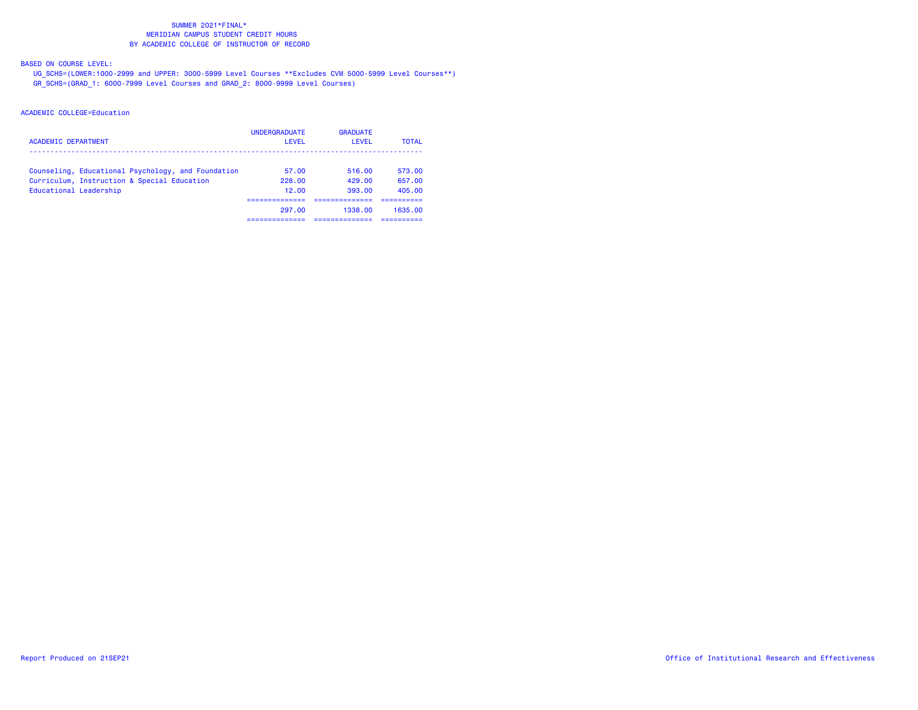BASED ON COURSE LEVEL:

 UG\_SCHS=(LOWER:1000-2999 and UPPER: 3000-5999 Level Courses \*\*Excludes CVM 5000-5999 Level Courses\*\*) GR\_SCHS=(GRAD\_1: 6000-7999 Level Courses and GRAD\_2: 8000-9999 Level Courses)

| <b>ACADEMIC DEPARTMENT</b>                         | <b>UNDERGRADUATE</b><br>LEVEL | <b>GRADUATE</b><br>I EVEL | <b>TOTAL</b> |
|----------------------------------------------------|-------------------------------|---------------------------|--------------|
| Counseling, Educational Psychology, and Foundation | 57.00                         | 516.00                    | 573.00       |
| Curriculum, Instruction & Special Education        | 228.00                        | 429.00                    | 657.00       |
| Educational Leadership                             | 12.00                         | 393.00                    | 405.00       |
|                                                    |                               |                           |              |
|                                                    | 297.00                        | 1338.00                   | 1635.00      |
|                                                    |                               |                           |              |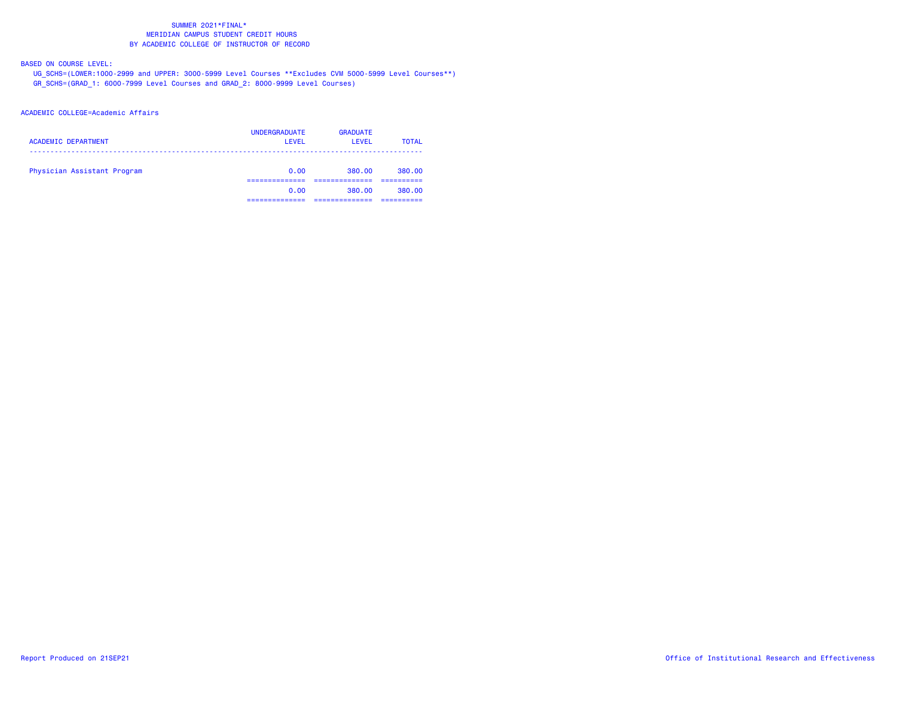BASED ON COURSE LEVEL:

 UG\_SCHS=(LOWER:1000-2999 and UPPER: 3000-5999 Level Courses \*\*Excludes CVM 5000-5999 Level Courses\*\*) GR\_SCHS=(GRAD\_1: 6000-7999 Level Courses and GRAD\_2: 8000-9999 Level Courses)

### ACADEMIC COLLEGE=Academic Affairs

| <b>ACADEMIC DEPARTMENT</b>  | <b>UNDERGRADUATE</b><br>LEVEL | <b>GRADUATE</b><br>LEVEL | <b>TOTAL</b> |
|-----------------------------|-------------------------------|--------------------------|--------------|
| Physician Assistant Program | 0.00                          | 380.00                   | 380.00       |
|                             | 0.00                          | 380.00                   | 380.00       |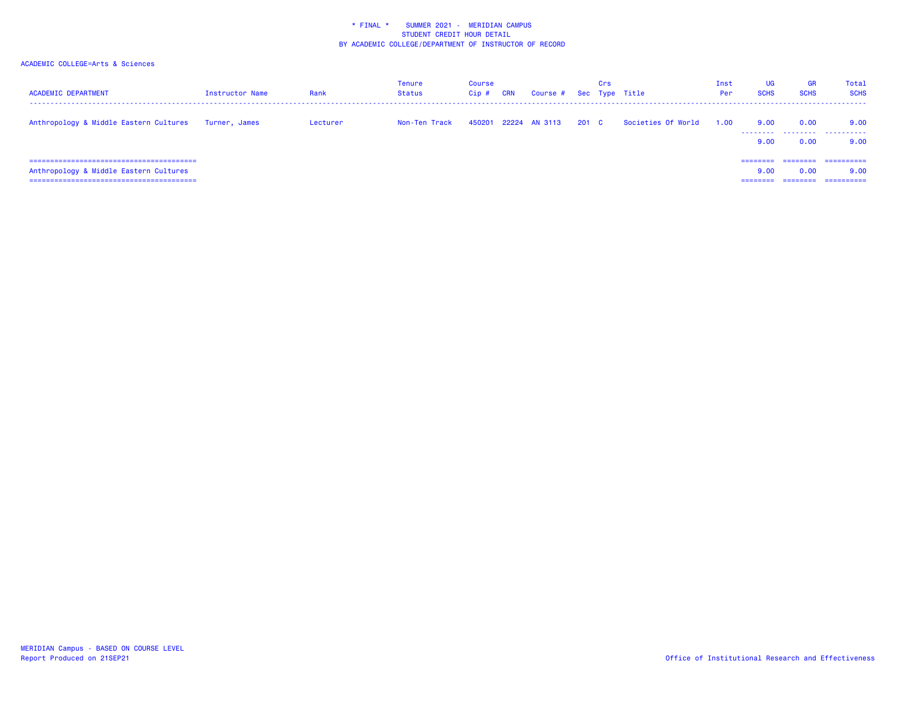| <b>ACADEMIC DEPARTMENT</b>             | <b>Instructor Name</b> | Rank     | <b>Tenure</b><br><b>Status</b> | Course<br>$Cip$ # | <b>CRN</b> | Course # Sec Type Title |       | Crs |                    | Inst<br>Per | UG<br><b>SCHS</b>           | GR<br><b>SCHS</b>            | Total<br><b>SCHS</b>             |
|----------------------------------------|------------------------|----------|--------------------------------|-------------------|------------|-------------------------|-------|-----|--------------------|-------------|-----------------------------|------------------------------|----------------------------------|
| Anthropology & Middle Eastern Cultures | Turner, James          | Lecturer | Non-Ten Track                  | 450201            |            | 22224 AN 3113           | 201 C |     | Societies Of World | 1.00        | 9.00<br>9.00                | 0.00<br>0.00                 | 9.00<br><br>9.00                 |
| Anthropology & Middle Eastern Cultures |                        |          |                                |                   |            |                         |       |     |                    |             | ========<br>9.00<br>------- | ========<br>0.00<br>======== | ==========<br>9.00<br>========== |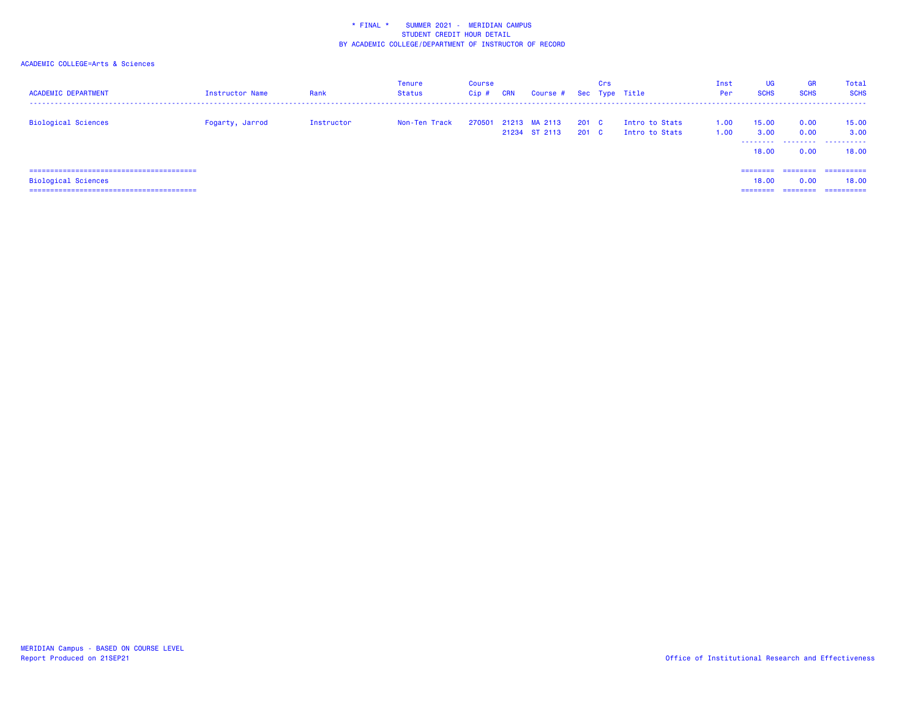| <b>ACADEMIC DEPARTMENT</b>       | <b>Instructor Name</b> | Rank       | <b>Tenure</b><br>Status | Course<br>$Cip$ # | <b>CRN</b> | Course #                       |                           | Crs | Sec Type Title                   | Inst<br>Per  | <b>UG</b><br><b>SCHS</b> | <b>GR</b><br><b>SCHS</b> | Total<br><b>SCHS</b>       |
|----------------------------------|------------------------|------------|-------------------------|-------------------|------------|--------------------------------|---------------------------|-----|----------------------------------|--------------|--------------------------|--------------------------|----------------------------|
| <b>Biological Sciences</b>       | Fogarty, Jarrod        | Instructor | Non-Ten Track           | 270501            |            | 21213 MA 2113<br>21234 ST 2113 | 201 <sub>c</sub><br>201 C |     | Intro to Stats<br>Intro to Stats | 1.00<br>1.00 | 15.00<br>3.00<br>18.00   | 0.00<br>0.00<br>0.00     | 15.00<br>3.00<br><br>18.00 |
| .=============================== |                        |            |                         |                   |            |                                |                           |     |                                  |              | ---------                | ========                 | ==========                 |
| <b>Biological Sciences</b>       |                        |            |                         |                   |            |                                |                           |     |                                  |              | 18.00                    | 0.00                     | 18.00                      |
|                                  |                        |            |                         |                   |            |                                |                           |     |                                  |              | ========                 | ---------                | =========                  |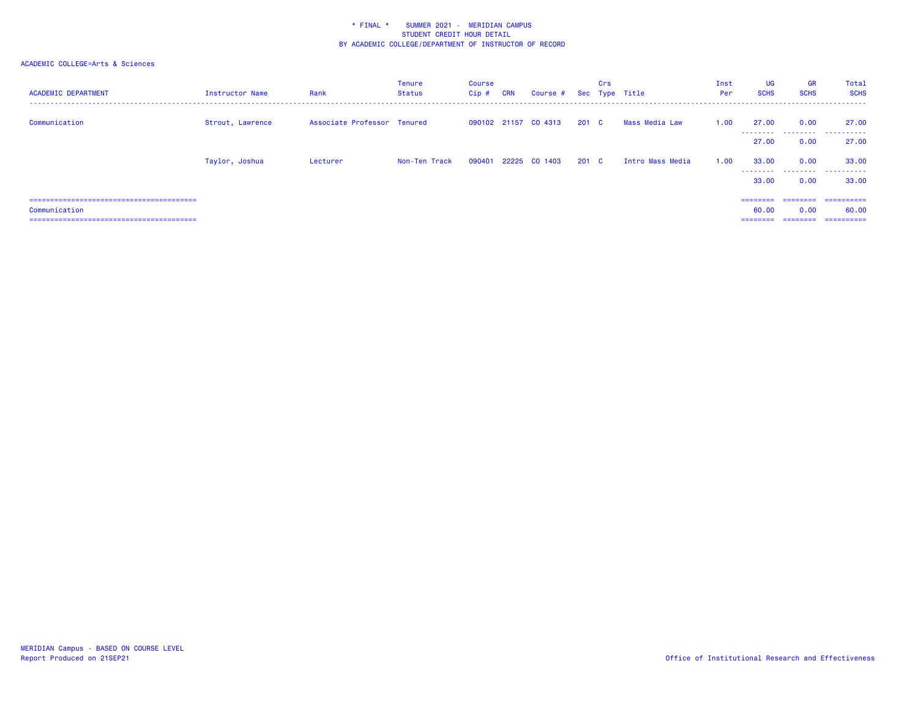| <b>ACADEMIC DEPARTMENT</b> | Instructor Name  | Rank                        | Tenure<br>Status | Course<br>$Cip$ # | <b>CRN</b> | Course # Sec Type Title |       | Crs |                  | Inst<br>Per | <b>UG</b><br><b>SCHS</b> | <b>GR</b><br><b>SCHS</b> | Total<br><b>SCHS</b>               |
|----------------------------|------------------|-----------------------------|------------------|-------------------|------------|-------------------------|-------|-----|------------------|-------------|--------------------------|--------------------------|------------------------------------|
| Communication              | Strout, Lawrence | Associate Professor Tenured |                  |                   |            | 090102 21157 CO 4313    | 201 C |     | Mass Media Law   | 1.00        | 27.00<br>.               | 0.00                     | 27.00<br>_________________________ |
|                            |                  |                             |                  |                   |            |                         |       |     |                  |             | 27.00                    | 0.00                     | 27.00                              |
|                            | Taylor, Joshua   | Lecturer                    | Non-Ten Track    | 090401            |            | 22225 CO 1403           | 201 C |     | Intro Mass Media | 1.00        | 33.00<br>.               | 0.00                     | 33.00                              |
|                            |                  |                             |                  |                   |            |                         |       |     |                  |             | 33.00                    | 0.00                     | 33.00                              |
|                            |                  |                             |                  |                   |            |                         |       |     |                  |             | ========                 |                          | ==========                         |
| Communication              |                  |                             |                  |                   |            |                         |       |     |                  |             | 60.00                    | 0.00                     | 60.00                              |
|                            |                  |                             |                  |                   |            |                         |       |     |                  |             | $=$ = = = = = = =        |                          | ==========                         |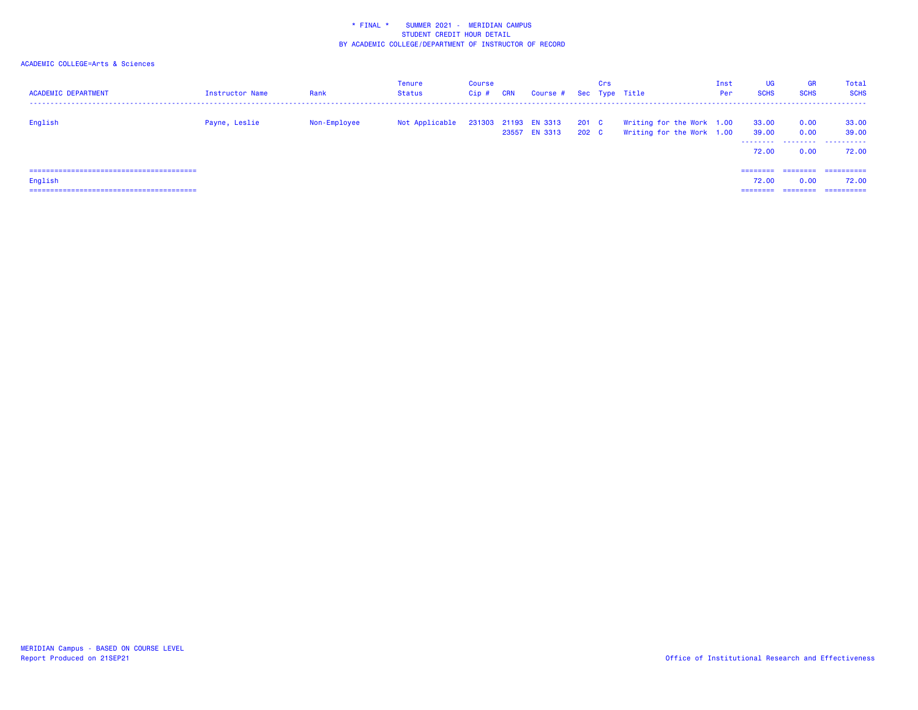| <b>ACADEMIC DEPARTMENT</b> | Instructor Name | Rank         | <b>Tenure</b><br>Status | Course<br>Cip# | <b>CRN</b> | Course # Sec Type Title               |                | Crs |                                                        | Inst<br>Per | <b>UG</b><br><b>SCHS</b> | <b>GR</b><br><b>SCHS</b> | Total<br><b>SCHS</b>        |
|----------------------------|-----------------|--------------|-------------------------|----------------|------------|---------------------------------------|----------------|-----|--------------------------------------------------------|-------------|--------------------------|--------------------------|-----------------------------|
| English                    | Payne, Leslie   | Non-Employee | Not Applicable          |                |            | 231303 21193 EN 3313<br>23557 EN 3313 | 201 C<br>202 C |     | Writing for the Work 1.00<br>Writing for the Work 1.00 |             | 33.00<br>39.00<br>72.00  | 0.00<br>0.00<br>0.00     | 33.00<br>39.00<br><br>72.00 |
|                            |                 |              |                         |                |            |                                       |                |     |                                                        |             | ========                 |                          | ==========                  |
| English                    |                 |              |                         |                |            |                                       |                |     |                                                        |             | 72.00                    | 0.00                     | 72.00                       |
|                            |                 |              |                         |                |            |                                       |                |     |                                                        |             | ---------                | ---------                | =========                   |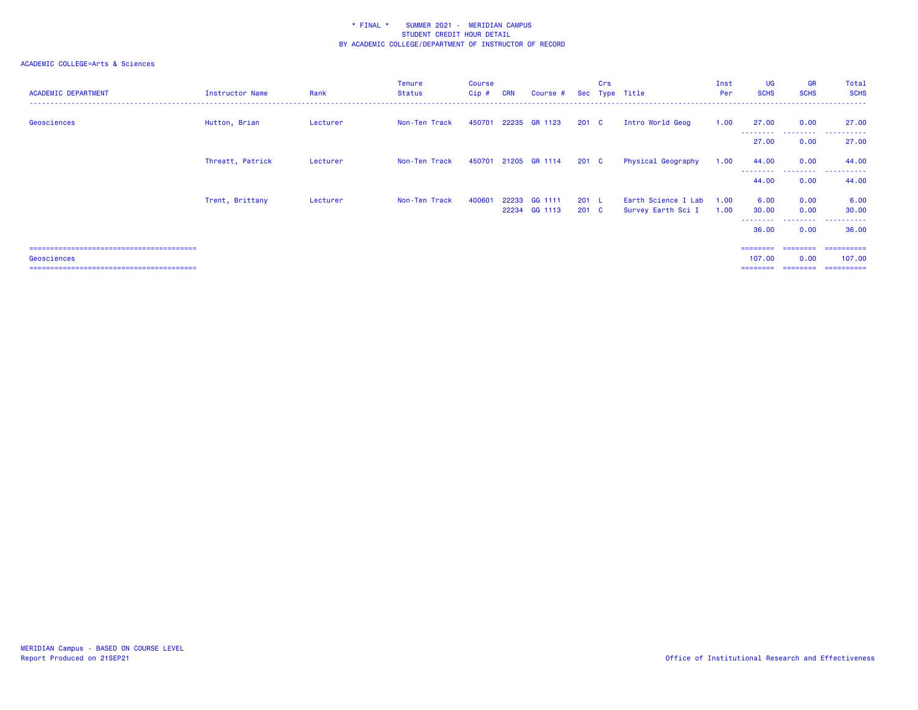| <b>ACADEMIC DEPARTMENT</b> | <b>Instructor Name</b> | Rank     | <b>Tenure</b><br><b>Status</b> | Course<br>$Cip$ # | <b>CRN</b>     | Course #             |                        | Crs | Sec Type Title                            | Inst<br>Per  | <b>UG</b><br><b>SCHS</b>                 | <b>GR</b><br><b>SCHS</b>   | Total<br><b>SCHS</b>                |
|----------------------------|------------------------|----------|--------------------------------|-------------------|----------------|----------------------|------------------------|-----|-------------------------------------------|--------------|------------------------------------------|----------------------------|-------------------------------------|
| Geosciences                | Hutton, Brian          | Lecturer | Non-Ten Track                  | 450701            |                | 22235 GR 1123        | $201 \quad C$          |     | Intro World Geog                          | 1.00         | 27.00<br>---------                       | 0.00<br>.                  | 27.00<br>. <b>.</b>                 |
|                            |                        |          |                                |                   |                |                      |                        |     |                                           |              | 27.00                                    | 0.00                       | 27.00                               |
|                            | Threatt, Patrick       | Lecturer | Non-Ten Track                  |                   |                | 450701 21205 GR 1114 | 201 <sub>c</sub>       |     | Physical Geography                        | 1.00         | 44.00                                    | 0.00<br>- - - - - <b>-</b> | 44.00<br>. <u>.</u> .<br>$- - -$    |
|                            |                        |          |                                |                   |                |                      |                        |     |                                           |              | 44.00                                    | 0.00                       | 44.00                               |
|                            | Trent, Brittany        | Lecturer | Non-Ten Track                  | 400601            | 22233<br>22234 | GG 1111<br>GG 1113   | 201 L<br>$201 \quad C$ |     | Earth Science I Lab<br>Survey Earth Sci I | 1.00<br>1.00 | 6.00<br>30.00<br>--------                | 0.00<br>0.00<br>.          | 6.00<br>30.00<br>.                  |
|                            |                        |          |                                |                   |                |                      |                        |     |                                           |              | 36.00                                    | 0.00                       | 36.00                               |
| Geosciences                |                        |          |                                |                   |                |                      |                        |     |                                           |              | ==================<br>107.00<br>======== | 0.00<br>========           | -----------<br>107.00<br>========== |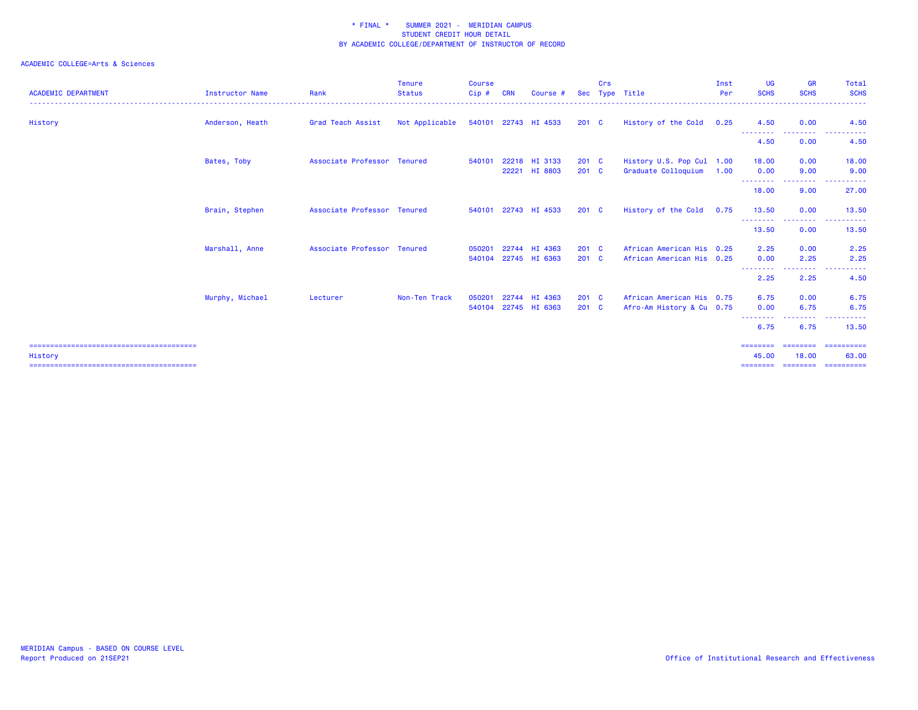| <b>ACADEMIC DEPARTMENT</b> | Instructor Name | Rank                        | <b>Tenure</b><br><b>Status</b> | <b>Course</b><br>Cip# | <b>CRN</b>     | Course #                 | <b>Sec</b>               | Crs | Type Title                                             | Inst<br>Per | <b>UG</b><br><b>SCHS</b>                        | <b>GR</b><br><b>SCHS</b>              | Total<br><b>SCHS</b>                                                                                                                                                                                                                                                                                                                                                                                                                                                                                                                      |
|----------------------------|-----------------|-----------------------------|--------------------------------|-----------------------|----------------|--------------------------|--------------------------|-----|--------------------------------------------------------|-------------|-------------------------------------------------|---------------------------------------|-------------------------------------------------------------------------------------------------------------------------------------------------------------------------------------------------------------------------------------------------------------------------------------------------------------------------------------------------------------------------------------------------------------------------------------------------------------------------------------------------------------------------------------------|
| History                    | Anderson, Heath | Grad Teach Assist           | Not Applicable                 |                       |                | 540101 22743 HI 4533     | 201 <sub>c</sub>         |     | History of the Cold                                    | 0.25        | 4.50                                            | 0.00                                  | 4.50                                                                                                                                                                                                                                                                                                                                                                                                                                                                                                                                      |
|                            |                 |                             |                                |                       |                |                          |                          |     |                                                        |             | --------<br>4.50                                | --------<br>0.00                      | $\mathcal{L}^{\mathcal{L}}\mathcal{L}^{\mathcal{L}}\mathcal{L}^{\mathcal{L}}\mathcal{L}^{\mathcal{L}}\mathcal{L}^{\mathcal{L}}$<br>4.50                                                                                                                                                                                                                                                                                                                                                                                                   |
|                            | Bates, Toby     | Associate Professor Tenured |                                | 540101                | 22221          | 22218 HI 3133<br>HI 8803 | $201$ C<br>$201$ C       |     | History U.S. Pop Cul 1.00<br>Graduate Colloquium       | 1.00        | 18.00<br>0.00                                   | 0.00<br>9.00                          | 18.00<br>9.00                                                                                                                                                                                                                                                                                                                                                                                                                                                                                                                             |
|                            |                 |                             |                                |                       |                |                          |                          |     |                                                        |             | 18.00                                           | <u> - - - - - - - -</u><br>9.00       | . <u>.</u> .<br>27.00                                                                                                                                                                                                                                                                                                                                                                                                                                                                                                                     |
|                            | Brain, Stephen  | Associate Professor Tenured |                                | 540101                |                | 22743 HI 4533            | $201 \quad C$            |     | History of the Cold                                    | 0.75        | 13.50                                           | 0.00                                  | 13.50                                                                                                                                                                                                                                                                                                                                                                                                                                                                                                                                     |
|                            |                 |                             |                                |                       |                |                          |                          |     |                                                        |             | <u> - - - - - - - - -</u><br>13.50              | <b><i><u>ALLESSEE</u></i></b><br>0.00 | . <b>.</b> .<br>13.50                                                                                                                                                                                                                                                                                                                                                                                                                                                                                                                     |
|                            | Marshall, Anne  | Associate Professor Tenured |                                | 050201<br>540104      | 22744<br>22745 | HI 4363<br>HI 6363       | $201 \quad C$<br>$201$ C |     | African American His 0.25<br>African American His 0.25 |             | 2.25<br>0.00                                    | 0.00<br>2.25                          | 2.25<br>2.25                                                                                                                                                                                                                                                                                                                                                                                                                                                                                                                              |
|                            |                 |                             |                                |                       |                |                          |                          |     |                                                        |             | . <b>. .</b><br>2.25                            | ---------<br>2.25                     | $\cdots$<br>.<br>4.50                                                                                                                                                                                                                                                                                                                                                                                                                                                                                                                     |
|                            | Murphy, Michael | Lecturer                    | Non-Ten Track                  | 050201<br>540104      | 22744          | HI 4363<br>22745 HI 6363 | $201 \quad C$<br>$201$ C |     | African American His 0.75<br>Afro-Am History & Cu 0.75 |             | 6.75<br>0.00                                    | 0.00<br>6.75                          | 6.75<br>6.75                                                                                                                                                                                                                                                                                                                                                                                                                                                                                                                              |
|                            |                 |                             |                                |                       |                |                          |                          |     |                                                        |             | <u>.</u><br>6.75                                | <u>.</u><br>6.75                      | 13.50                                                                                                                                                                                                                                                                                                                                                                                                                                                                                                                                     |
| History                    |                 |                             |                                |                       |                |                          |                          |     |                                                        |             | $=$ = = = = = = =<br>45.00<br>$=$ = = = = = = = | ========<br>18.00<br>========         | $\begin{array}{c} \multicolumn{3}{c} {\color{blue} \textbf{2}} & \multicolumn{3}{c} {\color{blue} \textbf{3}} & \multicolumn{3}{c} {\color{blue} \textbf{4}} \\ \multicolumn{3}{c} {\color{blue} \textbf{4}} & \multicolumn{3}{c} {\color{blue} \textbf{5}} & \multicolumn{3}{c} {\color{blue} \textbf{6}} & \multicolumn{3}{c} {\color{blue} \textbf{6}} \\ \multicolumn{3}{c} {\color{blue} \textbf{5}} & \multicolumn{3}{c} {\color{blue} \textbf{6}} & \multicolumn{3}{c} {\color{blue} \textbf{6}} & \multic$<br>63.00<br>========== |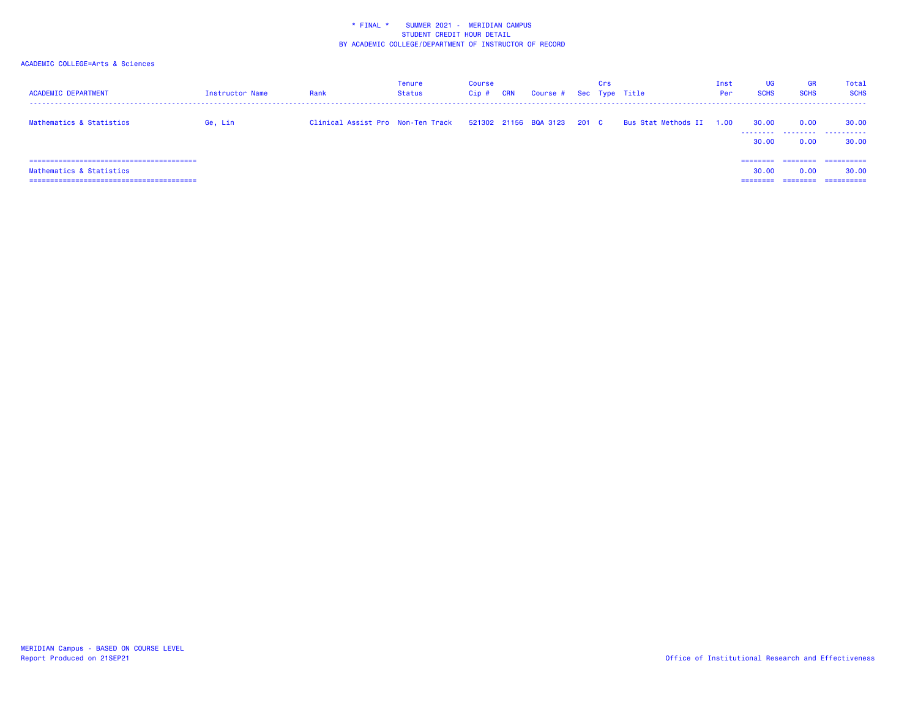| <b>ACADEMIC DEPARTMENT</b>                                 | <b>Instructor Name</b> | Rank                              | Tenure<br><b>Status</b> | Course<br>Cip# | <b>CRN</b> | Course #              |       | Crs | Sec Type Title      | Inst<br>Per | UG<br><b>SCHS</b>   | <b>GR</b><br><b>SCHS</b> | Total<br><b>SCHS</b>              |
|------------------------------------------------------------|------------------------|-----------------------------------|-------------------------|----------------|------------|-----------------------|-------|-----|---------------------|-------------|---------------------|--------------------------|-----------------------------------|
| Mathematics & Statistics                                   | Ge, Lin                | Clinical Assist Pro Non-Ten Track |                         |                |            | 521302 21156 BQA 3123 | 201 C |     | Bus Stat Methods II | 1.00        | 30.00<br>.<br>30.00 | 0.00<br>.<br>0.00        | 30.00<br>.<br>30.00               |
| Mathematics & Statistics<br>------------------------------ |                        |                                   |                         |                |            |                       |       |     |                     |             | ========<br>30.00   | ========<br>0.00         | ==========<br>30.00<br>========== |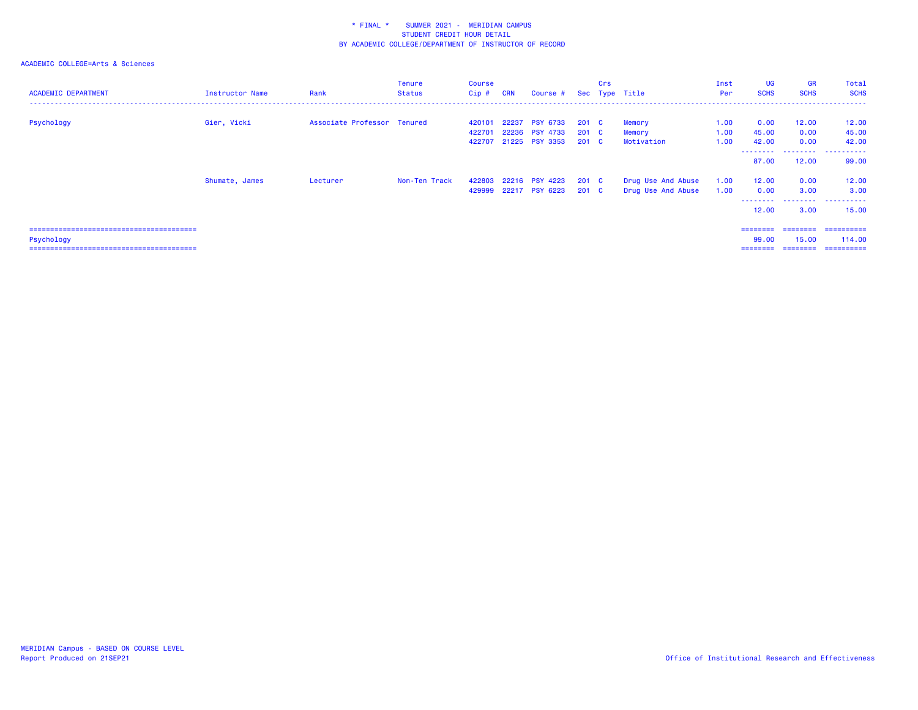| <b>ACADEMIC DEPARTMENT</b>    | <b>Instructor Name</b> | Rank                        | Tenure<br>Status | Course<br>Cip # | <b>CRN</b> | Course #              |                  | Crs | Sec Type Title     | Inst<br>Per | <b>UG</b><br><b>SCHS</b> | <b>GR</b><br><b>SCHS</b> | Total<br><b>SCHS</b> |
|-------------------------------|------------------------|-----------------------------|------------------|-----------------|------------|-----------------------|------------------|-----|--------------------|-------------|--------------------------|--------------------------|----------------------|
|                               |                        |                             |                  |                 |            |                       |                  |     |                    |             |                          |                          |                      |
| Psychology                    | Gier, Vicki            | Associate Professor Tenured |                  | 420101          |            | 22237 PSY 6733        | $201 \quad C$    |     | Memory             | 1.00        | 0.00                     | 12.00                    | 12.00                |
|                               |                        |                             |                  | 422701          |            | 22236 PSY 4733        | $201 \quad C$    |     | Memory             | 1.00        | 45.00                    | 0.00                     | 45.00                |
|                               |                        |                             |                  | 422707          |            | 21225 PSY 3353        | $201 \quad C$    |     | Motivation         | 1.00        | 42.00<br>--------        | 0.00<br>.                | 42.00<br>.           |
|                               |                        |                             |                  |                 |            |                       |                  |     |                    |             | 87.00                    | 12.00                    | 99.00                |
|                               | Shumate, James         | Lecturer                    | Non-Ten Track    | 422803          |            | 22216 PSY 4223        | 201 C            |     | Drug Use And Abuse | 1.00        | 12.00                    | 0.00                     | 12.00                |
|                               |                        |                             |                  |                 |            | 429999 22217 PSY 6223 | 201 <sub>c</sub> |     | Drug Use And Abuse | 1.00        | 0.00                     | 3.00                     | 3.00                 |
|                               |                        |                             |                  |                 |            |                       |                  |     |                    |             | --------<br>12.00        | --------<br>3.00         | ----------<br>15.00  |
|                               |                        |                             |                  |                 |            |                       |                  |     |                    |             | ========                 | ========                 | -----------          |
| Psychology                    |                        |                             |                  |                 |            |                       |                  |     |                    |             | 99.00                    | 15.00                    | 114,00               |
| ============================= |                        |                             |                  |                 |            |                       |                  |     |                    |             |                          |                          | ==========           |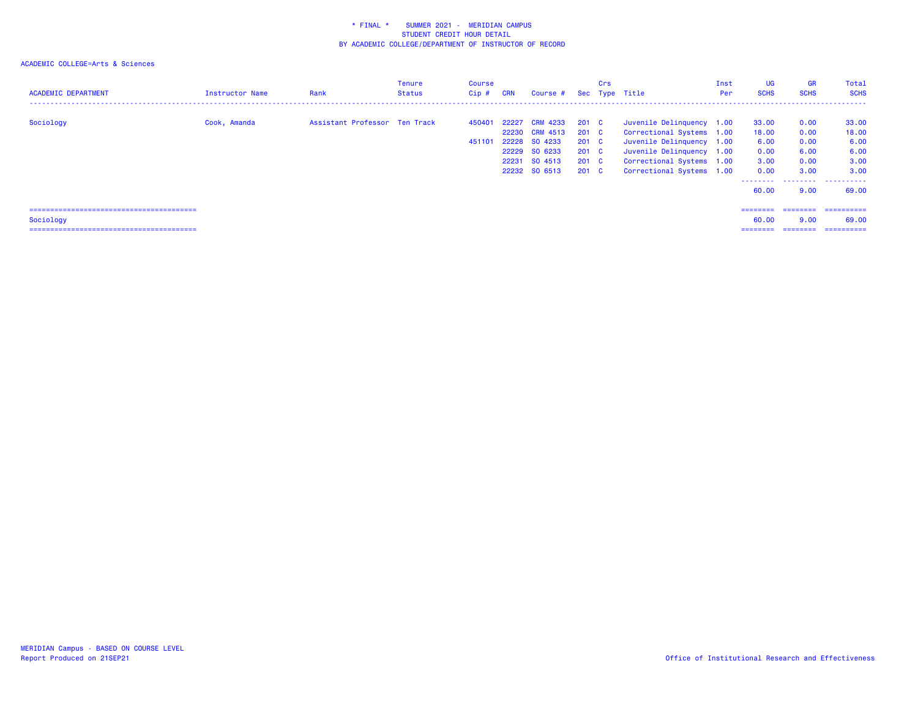| <b>ACADEMIC DEPARTMENT</b> | Instructor Name | Rank                          | Tenure<br><b>Status</b> | Course<br>$Cip$ # | <b>CRN</b>     | Course # Sec Type Title                                                                         |                                                                                               | Crs |                                                                                                                                                                            | Inst<br>Per | <b>UG</b><br><b>SCHS</b>                                            | <b>GR</b><br><b>SCHS</b>                                  | Total<br><b>SCHS</b>                                                 |
|----------------------------|-----------------|-------------------------------|-------------------------|-------------------|----------------|-------------------------------------------------------------------------------------------------|-----------------------------------------------------------------------------------------------|-----|----------------------------------------------------------------------------------------------------------------------------------------------------------------------------|-------------|---------------------------------------------------------------------|-----------------------------------------------------------|----------------------------------------------------------------------|
| Sociology                  | Cook, Amanda    | Assistant Professor Ten Track |                         | 450401<br>451101  | 22227<br>22231 | <b>CRM 4233</b><br>22230 CRM 4513<br>22228 SO 4233<br>22229 SO 6233<br>SO 4513<br>22232 SO 6513 | 201 <sub>c</sub><br>201 C<br>$201 \quad C$<br>$201 \quad C$<br>$201 \quad C$<br>$201 \quad C$ |     | Juvenile Delinquency 1.00<br>Correctional Systems 1.00<br>Juvenile Delinquency 1.00<br>Juvenile Delinquency 1.00<br>Correctional Systems 1.00<br>Correctional Systems 1.00 |             | 33.00<br>18.00<br>6.00<br>0.00<br>3.00<br>0.00<br>--------<br>60.00 | 0.00<br>0.00<br>0.00<br>6.00<br>0.00<br>3.00<br>.<br>9.00 | 33.00<br>18.00<br>6.00<br>6.00<br>3.00<br>3.00<br>.<br>----<br>69.00 |
| Sociology                  |                 |                               |                         |                   |                |                                                                                                 |                                                                                               |     |                                                                                                                                                                            |             | $=$ = = = = = = =<br>60.00<br>========                              | ========<br>9.00<br>---------                             | ==========<br>69.00<br>==========                                    |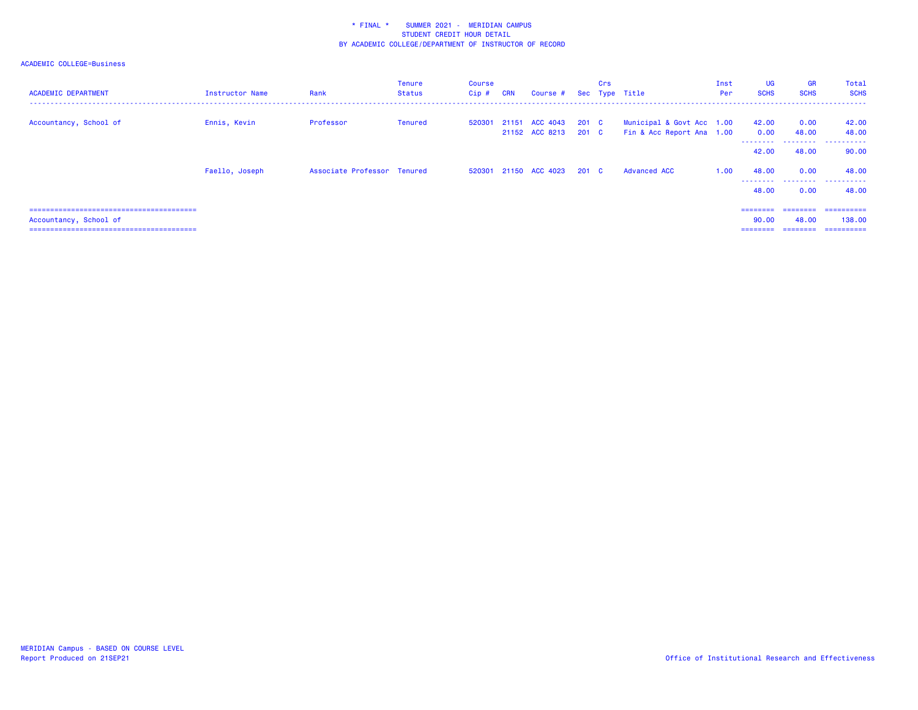| <b>ACADEMIC DEPARTMENT</b> | Instructor Name | Rank                        | Tenure<br>Status | Course<br>$Cip$ # | <b>CRN</b> | Course #                               |       | Crs | Sec Type Title                                         | Inst<br>Per | <b>UG</b><br><b>SCHS</b> | <b>GR</b><br><b>SCHS</b> | Total<br><b>SCHS</b> |
|----------------------------|-----------------|-----------------------------|------------------|-------------------|------------|----------------------------------------|-------|-----|--------------------------------------------------------|-------------|--------------------------|--------------------------|----------------------|
| Accountancy, School of     | Ennis, Kevin    | Professor                   | Tenured          | 520301            |            | 21151 ACC 4043<br>21152 ACC 8213 201 C | 201 C |     | Municipal & Govt Acc 1.00<br>Fin & Acc Report Ana 1.00 |             | 42.00<br>0.00            | 0.00<br>48.00            | 42.00<br>48.00       |
|                            |                 |                             |                  |                   |            |                                        |       |     |                                                        |             | .<br>42.00               | 48.00                    | <br>90.00            |
|                            | Faello, Joseph  | Associate Professor Tenured |                  |                   |            | 520301 21150 ACC 4023                  | 201 C |     | <b>Advanced ACC</b>                                    | 1.00        | 48.00                    | 0.00                     | 48.00<br>            |
|                            |                 |                             |                  |                   |            |                                        |       |     |                                                        |             | 48.00                    | 0.00                     | 48.00                |
|                            |                 |                             |                  |                   |            |                                        |       |     |                                                        |             | ========                 | ========                 | ==========           |
| Accountancy, School of     |                 |                             |                  |                   |            |                                        |       |     |                                                        |             | 90.00<br>========        | 48.00<br>========        | 138,00<br>========== |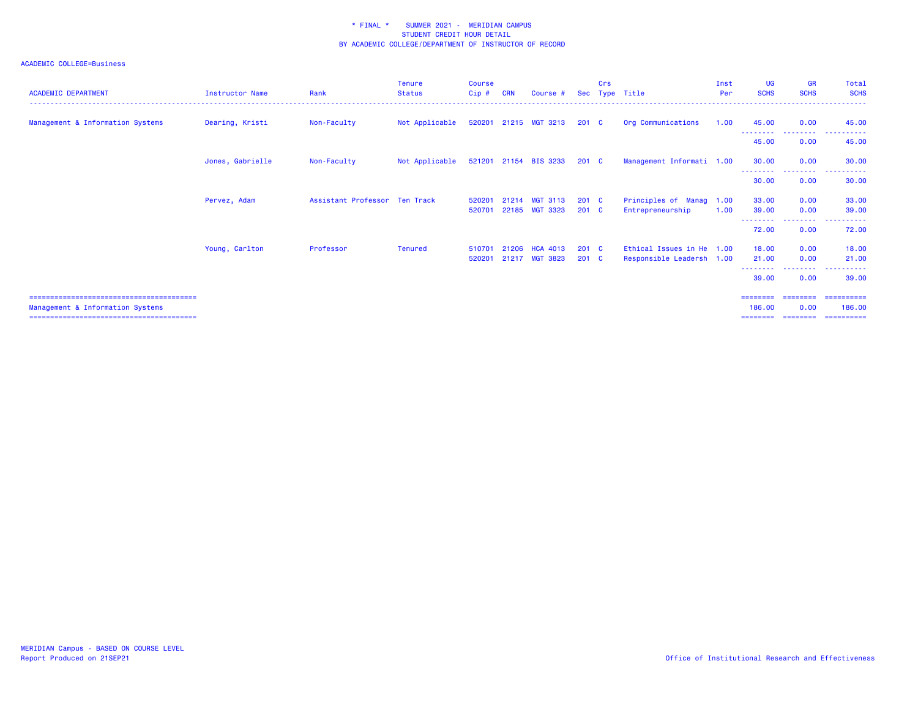| <b>ACADEMIC DEPARTMENT</b>       | <b>Instructor Name</b> | Rank                          | <b>Tenure</b><br><b>Status</b> | Course<br>Cip# | <b>CRN</b> | Course #              |                  | Crs | Sec Type Title            | Inst<br>Per | <b>UG</b><br><b>SCHS</b>   | <b>GR</b><br><b>SCHS</b> | Total<br><b>SCHS</b>                 |
|----------------------------------|------------------------|-------------------------------|--------------------------------|----------------|------------|-----------------------|------------------|-----|---------------------------|-------------|----------------------------|--------------------------|--------------------------------------|
| Management & Information Systems | Dearing, Kristi        | Non-Faculty                   | Not Applicable                 | 520201         |            | 21215 MGT 3213        | 201 <sub>c</sub> |     | Org Communications        | 1.00        | 45.00<br>.                 | 0.00<br>---------        | 45.00<br>.                           |
|                                  |                        |                               |                                |                |            |                       |                  |     |                           |             | 45.00                      | 0.00                     | 45.00                                |
|                                  | Jones, Gabrielle       | Non-Faculty                   | Not Applicable                 |                |            | 521201 21154 BIS 3233 | $201 \quad C$    |     | Management Informati 1.00 |             | 30.00                      | 0.00                     | 30.00                                |
|                                  |                        |                               |                                |                |            |                       |                  |     |                           |             | --------<br>30.00          | <b>.</b> .<br>0.00       | <u> - - - - - - - - - -</u><br>30.00 |
|                                  | Pervez, Adam           | Assistant Professor Ten Track |                                | 520201         | 21214      | <b>MGT 3113</b>       | $201 \quad C$    |     | Principles of Manag 1.00  |             | 33.00                      | 0.00                     | 33.00                                |
|                                  |                        |                               |                                | 520701         | 22185      | <b>MGT 3323</b>       | $201 \quad C$    |     | Entrepreneurship          | 1.00        | 39.00<br>- - - - - - - - - | 0.00<br><b>.</b> .       | 39.00<br><u> - - - - - - - - - -</u> |
|                                  |                        |                               |                                |                |            |                       |                  |     |                           |             | 72.00                      | 0.00                     | 72.00                                |
|                                  | Young, Carlton         | Professor                     | Tenured                        | 510701         | 21206      | <b>HCA 4013</b>       | $201 \quad C$    |     | Ethical Issues in He 1.00 |             | 18.00                      | 0.00                     | 18.00                                |
|                                  |                        |                               |                                | 520201         |            | 21217 MGT 3823        | $201 \quad C$    |     | Responsible Leadersh 1.00 |             | 21.00<br>.                 | 0.00                     | 21.00                                |
|                                  |                        |                               |                                |                |            |                       |                  |     |                           |             | 39.00                      | 0.00                     | 39.00                                |
| Management & Information Systems |                        |                               |                                |                |            |                       |                  |     |                           |             | 186.00                     | 0.00                     | ==========<br>186,00                 |
|                                  |                        |                               |                                |                |            |                       |                  |     |                           |             |                            |                          | :======                              |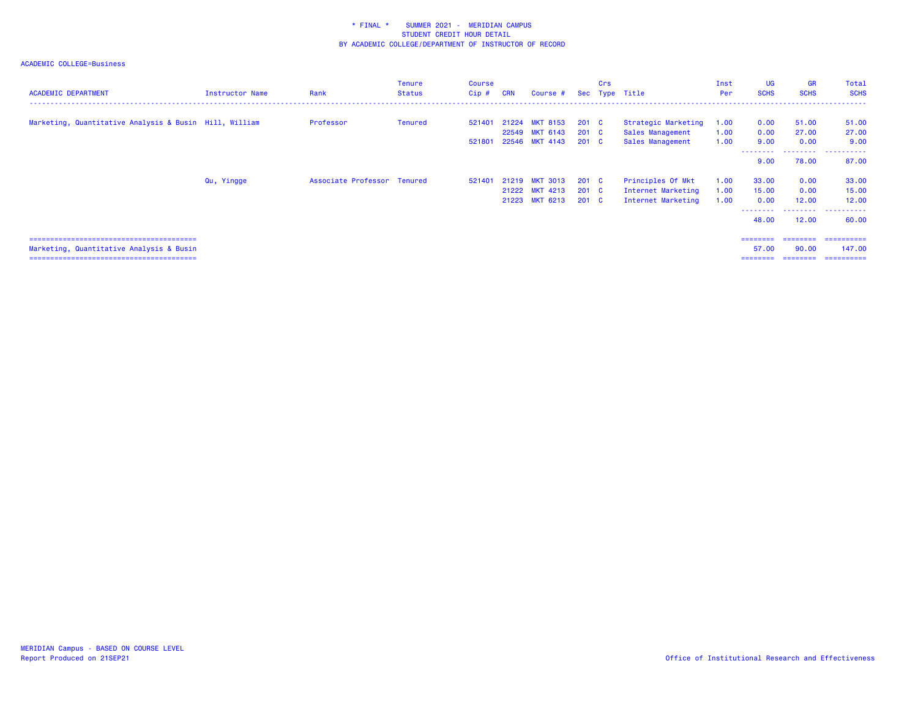| <b>ACADEMIC DEPARTMENT</b>                             | Instructor Name | Rank                        | <b>Tenure</b><br><b>Status</b> | Course<br>$Cip$ # | <b>CRN</b> | Course #                         |                                | Crs | Sec Type Title                           | Inst<br>Per  | <b>UG</b><br><b>SCHS</b>        | <b>GR</b><br><b>SCHS</b> | Total<br><b>SCHS</b> |
|--------------------------------------------------------|-----------------|-----------------------------|--------------------------------|-------------------|------------|----------------------------------|--------------------------------|-----|------------------------------------------|--------------|---------------------------------|--------------------------|----------------------|
| Marketing, Quantitative Analysis & Busin Hill, William |                 | Professor                   | Tenured                        | 521401            |            | 21224 MKT 8153<br>22549 MKT 6143 | $201 \quad C$<br>$201 \quad C$ |     | Strategic Marketing<br>Sales Management  | 1.00<br>1.00 | 0.00<br>0.00                    | 51.00<br>27.00           | 51.00<br>27.00       |
|                                                        |                 |                             |                                | 521801            |            | 22546 MKT 4143                   | $201 \quad C$                  |     | Sales Management                         | 1.00         | 9.00<br><u> - - - - - - - -</u> | 0.00<br>.                | 9.00<br>.            |
|                                                        | Qu, Yingge      | Associate Professor Tenured |                                | 521401            |            | 21219 MKT 3013                   | $201 \quad C$                  |     | Principles Of Mkt                        | 1.00         | 9.00<br>33.00                   | 78.00<br>0.00            | 87.00<br>33.00       |
|                                                        |                 |                             |                                |                   |            | 21222 MKT 4213<br>21223 MKT 6213 | $201 \quad C$<br>$201 \quad C$ |     | Internet Marketing<br>Internet Marketing | 1.00<br>1.00 | 15.00<br>0.00                   | 0.00<br>12.00            | 15.00<br>12.00       |
|                                                        |                 |                             |                                |                   |            |                                  |                                |     |                                          |              | ---------<br>48.00              | ---------<br>12.00       | .<br>60.00           |
| Marketing, Quantitative Analysis & Busin               |                 |                             |                                |                   |            |                                  |                                |     |                                          |              | ========<br>57.00               | ---------<br>90.00       | ==========<br>147,00 |
|                                                        |                 |                             |                                |                   |            |                                  |                                |     |                                          |              |                                 | ========                 | -----------          |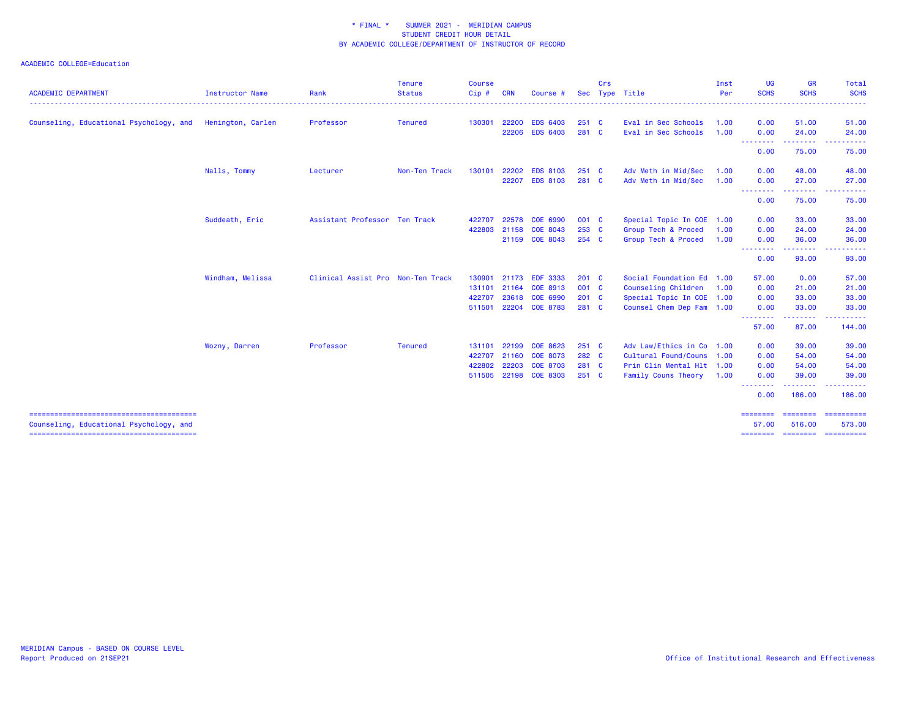| <b>ACADEMIC DEPARTMENT</b>              | Instructor Name   | Rank                              | <b>Tenure</b><br><b>Status</b> | <b>Course</b><br>Cip# | CRN   | Course #        | <b>Sec</b>   | Crs | Type Title                | Inst<br>Per | <b>UG</b><br><b>SCHS</b>                     | <b>GR</b><br><b>SCHS</b>   | Total<br><b>SCHS</b><br>د د د د د               |
|-----------------------------------------|-------------------|-----------------------------------|--------------------------------|-----------------------|-------|-----------------|--------------|-----|---------------------------|-------------|----------------------------------------------|----------------------------|-------------------------------------------------|
| Counseling, Educational Psychology, and | Henington, Carlen | Professor                         | <b>Tenured</b>                 | 130301                | 22200 | <b>EDS 6403</b> | 251 C        |     | Eval in Sec Schools       | 1.00        | 0.00                                         | 51.00                      | 51.00                                           |
|                                         |                   |                                   |                                |                       | 22206 | <b>EDS 6403</b> | 281 C        |     | Eval in Sec Schools       | 1.00        | 0.00<br>.                                    | 24.00<br>.                 | 24.00<br>.                                      |
|                                         |                   |                                   |                                |                       |       |                 |              |     |                           |             | 0.00                                         | 75.00                      | 75.00                                           |
|                                         | Nalls, Tommy      | Lecturer                          | Non-Ten Track                  | 130101                | 22202 | <b>EDS 8103</b> | $251\quad C$ |     | Adv Meth in Mid/Sec       | 1.00        | 0.00                                         | 48.00                      | 48.00                                           |
|                                         |                   |                                   |                                |                       | 22207 | <b>EDS 8103</b> | 281 C        |     | Adv Meth in Mid/Sec       | 1.00        | 0.00                                         | 27,00                      | 27.00                                           |
|                                         |                   |                                   |                                |                       |       |                 |              |     |                           |             | --------<br>0.00                             | . <b>.</b> .<br>75.00      | <b><i><u><u> - - - - -</u></u></i></b><br>75.00 |
|                                         | Suddeath, Eric    | Assistant Professor Ten Track     |                                | 422707                | 22578 | COE 6990        | 001 C        |     | Special Topic In COE 1.00 |             | 0.00                                         | 33.00                      | 33.00                                           |
|                                         |                   |                                   |                                | 422803                | 21158 | COE 8043        | 253 C        |     | Group Tech & Proced       | 1.00        | 0.00                                         | 24.00                      | 24.00                                           |
|                                         |                   |                                   |                                |                       |       | 21159 COE 8043  | 254 C        |     | Group Tech & Proced       | 1.00        | 0.00                                         | 36.00                      | 36.00                                           |
|                                         |                   |                                   |                                |                       |       |                 |              |     |                           |             | <b><i><u><u>ALLERS A</u></u></i></b><br>0.00 | .<br>93.00                 | د د د د د<br>93.00                              |
|                                         | Windham, Melissa  | Clinical Assist Pro Non-Ten Track |                                | 130901                | 21173 | <b>EDF 3333</b> | $201$ C      |     | Social Foundation Ed 1.00 |             | 57.00                                        | 0.00                       | 57.00                                           |
|                                         |                   |                                   |                                | 131101                | 21164 | COE 8913        | 001 C        |     | Counseling Children 1.00  |             | 0.00                                         | 21.00                      | 21.00                                           |
|                                         |                   |                                   |                                | 422707                | 23618 | COE 6990        | $201$ C      |     | Special Topic In COE 1.00 |             | 0.00                                         | 33.00                      | 33.00                                           |
|                                         |                   |                                   |                                | 511501                |       | 22204 COE 8783  | 281 C        |     | Counsel Chem Dep Fam 1.00 |             | 0.00                                         | 33.00                      | 33.00                                           |
|                                         |                   |                                   |                                |                       |       |                 |              |     |                           |             | .<br>57.00                                   | -----<br>87.00             | .<br>144.00                                     |
|                                         | Wozny, Darren     | Professor                         | <b>Tenured</b>                 | 131101                | 22199 | COE 8623        | 251 C        |     | Adv Law/Ethics in Co 1.00 |             | 0.00                                         | 39.00                      | 39.00                                           |
|                                         |                   |                                   |                                | 422707                | 21160 | COE 8073        | 282 C        |     | Cultural Found/Couns 1.00 |             | 0.00                                         | 54.00                      | 54.00                                           |
|                                         |                   |                                   |                                | 422802                | 22203 | <b>COE 8703</b> | 281 C        |     | Prin Clin Mental Hlt 1.00 |             | 0.00                                         | 54.00                      | 54.00                                           |
|                                         |                   |                                   |                                | 511505                |       | 22198 COE 8303  | 251 C        |     | Family Couns Theory 1.00  |             | 0.00                                         | 39.00                      | 39.00                                           |
|                                         |                   |                                   |                                |                       |       |                 |              |     |                           |             | <b><i><u>AAAAAAAA</u></i></b><br>0.00        | المتمام والمناور<br>186.00 | .<br>186.00                                     |
|                                         |                   |                                   |                                |                       |       |                 |              |     |                           |             | ========                                     |                            | ======== =========                              |
| Counseling, Educational Psychology, and |                   |                                   |                                |                       |       |                 |              |     |                           |             | 57.00<br>========                            | 516,00                     | 573.00<br>======== ==========                   |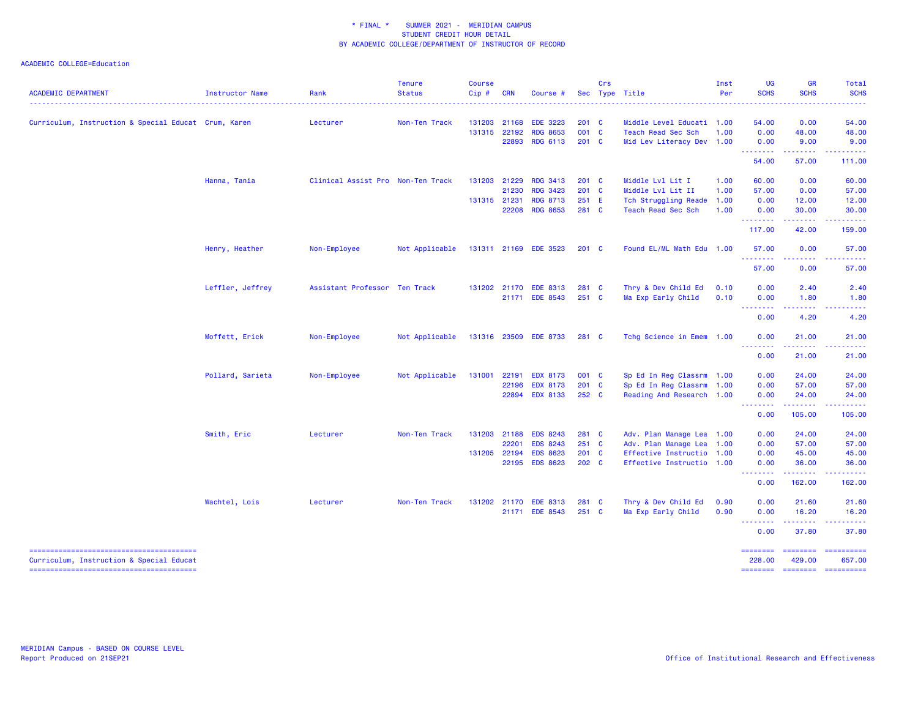| <b>ACADEMIC DEPARTMENT</b>                           | Instructor Name  | Rank                              | <b>Tenure</b><br><b>Status</b> | <b>Course</b><br>Cip# | <b>CRN</b>   | Course #              |               | Crs | Sec Type Title            | Inst<br>Per | <b>UG</b><br><b>SCHS</b>  | <b>GR</b><br><b>SCHS</b>                                                                                                       | Total<br><b>SCHS</b>                                                                                                                                                                                                                                                                                                                                                                                                                 |
|------------------------------------------------------|------------------|-----------------------------------|--------------------------------|-----------------------|--------------|-----------------------|---------------|-----|---------------------------|-------------|---------------------------|--------------------------------------------------------------------------------------------------------------------------------|--------------------------------------------------------------------------------------------------------------------------------------------------------------------------------------------------------------------------------------------------------------------------------------------------------------------------------------------------------------------------------------------------------------------------------------|
| Curriculum, Instruction & Special Educat Crum, Karen |                  | Lecturer                          | Non-Ten Track                  | 131203                | 21168        | <b>EDE 3223</b>       | $201 \quad C$ |     | Middle Level Educati 1.00 |             | 54.00                     | 0.00                                                                                                                           | 54.00                                                                                                                                                                                                                                                                                                                                                                                                                                |
|                                                      |                  |                                   |                                |                       | 131315 22192 | <b>RDG 8653</b>       | 001 C         |     | Teach Read Sec Sch        | 1.00        | 0.00                      | 48.00                                                                                                                          | 48.00                                                                                                                                                                                                                                                                                                                                                                                                                                |
|                                                      |                  |                                   |                                |                       | 22893        | <b>RDG 6113</b>       | 201 C         |     | Mid Lev Literacy Dev 1.00 |             | 0.00<br>.                 | 9.00<br>.                                                                                                                      | 9.00                                                                                                                                                                                                                                                                                                                                                                                                                                 |
|                                                      |                  |                                   |                                |                       |              |                       |               |     |                           |             | 54.00                     | 57.00                                                                                                                          | 111.00                                                                                                                                                                                                                                                                                                                                                                                                                               |
|                                                      | Hanna, Tania     | Clinical Assist Pro Non-Ten Track |                                |                       | 131203 21229 | <b>RDG 3413</b>       | $201 \quad C$ |     | Middle Lvl Lit I          | 1.00        | 60.00                     | 0.00                                                                                                                           | 60.00                                                                                                                                                                                                                                                                                                                                                                                                                                |
|                                                      |                  |                                   |                                |                       | 21230        | <b>RDG 3423</b>       | 201 C         |     | Middle Lvl Lit II         | 1.00        | 57.00                     | 0.00                                                                                                                           | 57.00                                                                                                                                                                                                                                                                                                                                                                                                                                |
|                                                      |                  |                                   |                                |                       | 131315 21231 | <b>RDG 8713</b>       | 251 E         |     | Tch Struggling Reade 1.00 |             | 0.00                      | 12.00                                                                                                                          | 12.00                                                                                                                                                                                                                                                                                                                                                                                                                                |
|                                                      |                  |                                   |                                |                       | 22208        | <b>RDG 8653</b>       | 281 C         |     | Teach Read Sec Sch        | 1.00        | 0.00<br>.                 | 30.00                                                                                                                          | 30.00                                                                                                                                                                                                                                                                                                                                                                                                                                |
|                                                      |                  |                                   |                                |                       |              |                       |               |     |                           |             | 117.00                    | 42.00                                                                                                                          | 159.00                                                                                                                                                                                                                                                                                                                                                                                                                               |
|                                                      | Henry, Heather   | Non-Employee                      | Not Applicable                 |                       |              | 131311 21169 EDE 3523 | $201 \quad C$ |     | Found EL/ML Math Edu 1.00 |             | 57.00<br>.                | 0.00                                                                                                                           | 57.00                                                                                                                                                                                                                                                                                                                                                                                                                                |
|                                                      |                  |                                   |                                |                       |              |                       |               |     |                           |             | 57.00                     | 0.00                                                                                                                           | 57.00                                                                                                                                                                                                                                                                                                                                                                                                                                |
|                                                      | Leffler, Jeffrey | Assistant Professor Ten Track     |                                |                       |              | 131202 21170 EDE 8313 | 281 C         |     | Thry & Dev Child Ed       | 0.10        | 0.00                      | 2.40                                                                                                                           | 2.40                                                                                                                                                                                                                                                                                                                                                                                                                                 |
|                                                      |                  |                                   |                                |                       |              | 21171 EDE 8543        | $251\quad C$  |     | Ma Exp Early Child        | 0.10        | 0.00                      | 1.80                                                                                                                           | 1.80                                                                                                                                                                                                                                                                                                                                                                                                                                 |
|                                                      |                  |                                   |                                |                       |              |                       |               |     |                           |             | .<br>0.00                 | .<br>4.20                                                                                                                      | 4.20                                                                                                                                                                                                                                                                                                                                                                                                                                 |
|                                                      | Moffett, Erick   | Non-Employee                      | Not Applicable                 |                       |              | 131316 23509 EDE 8733 | 281 C         |     | Tchg Science in Emem 1.00 |             | 0.00                      | 21.00<br>$- - - - -$                                                                                                           | 21.00                                                                                                                                                                                                                                                                                                                                                                                                                                |
|                                                      |                  |                                   |                                |                       |              |                       |               |     |                           |             | 0.00                      | 21.00                                                                                                                          | 21.00                                                                                                                                                                                                                                                                                                                                                                                                                                |
|                                                      | Pollard, Sarieta | Non-Employee                      | Not Applicable                 | 131001                | 22191        | <b>EDX 8173</b>       | 001 C         |     | Sp Ed In Reg Classrm 1.00 |             | 0.00                      | 24.00                                                                                                                          | 24.00                                                                                                                                                                                                                                                                                                                                                                                                                                |
|                                                      |                  |                                   |                                |                       | 22196        | <b>EDX 8173</b>       | 201 C         |     | Sp Ed In Reg Classrm 1.00 |             | 0.00                      | 57.00                                                                                                                          | 57.00                                                                                                                                                                                                                                                                                                                                                                                                                                |
|                                                      |                  |                                   |                                |                       |              | 22894 EDX 8133        | 252 C         |     | Reading And Research 1.00 |             | 0.00<br>.                 | 24.00<br>.                                                                                                                     | 24.00                                                                                                                                                                                                                                                                                                                                                                                                                                |
|                                                      |                  |                                   |                                |                       |              |                       |               |     |                           |             | 0.00                      | 105.00                                                                                                                         | 105.00                                                                                                                                                                                                                                                                                                                                                                                                                               |
|                                                      | Smith, Eric      | Lecturer                          | Non-Ten Track                  | 131203                | 21188        | <b>EDS 8243</b>       | 281 C         |     | Adv. Plan Manage Lea 1.00 |             | 0.00                      | 24.00                                                                                                                          | 24.00                                                                                                                                                                                                                                                                                                                                                                                                                                |
|                                                      |                  |                                   |                                |                       | 22201        | <b>EDS 8243</b>       | 251 C         |     | Adv. Plan Manage Lea 1.00 |             | 0.00                      | 57.00                                                                                                                          | 57.00                                                                                                                                                                                                                                                                                                                                                                                                                                |
|                                                      |                  |                                   |                                |                       | 131205 22194 | <b>EDS 8623</b>       | 201 C         |     | Effective Instructio 1.00 |             | 0.00                      | 45.00                                                                                                                          | 45.00                                                                                                                                                                                                                                                                                                                                                                                                                                |
|                                                      |                  |                                   |                                |                       |              | 22195 EDS 8623        | 202 C         |     | Effective Instructio 1.00 |             | 0.00<br><b></b>           | 36.00<br>.                                                                                                                     | 36.00                                                                                                                                                                                                                                                                                                                                                                                                                                |
|                                                      |                  |                                   |                                |                       |              |                       |               |     |                           |             | 0.00                      | 162.00                                                                                                                         | 162.00                                                                                                                                                                                                                                                                                                                                                                                                                               |
|                                                      | Wachtel, Lois    | Lecturer                          | Non-Ten Track                  |                       |              | 131202 21170 EDE 8313 | 281 C         |     | Thry & Dev Child Ed       | 0.90        | 0.00                      | 21.60                                                                                                                          | 21.60                                                                                                                                                                                                                                                                                                                                                                                                                                |
|                                                      |                  |                                   |                                |                       |              | 21171 EDE 8543        | 251 C         |     | Ma Exp Early Child        | 0.90        | 0.00<br><u>.</u>          | 16.20<br>$\begin{array}{cccccccccc} \bullet & \bullet & \bullet & \bullet & \bullet & \bullet & \bullet & \bullet \end{array}$ | 16.20<br>.                                                                                                                                                                                                                                                                                                                                                                                                                           |
|                                                      |                  |                                   |                                |                       |              |                       |               |     |                           |             | 0.00                      | 37.80                                                                                                                          | 37.80                                                                                                                                                                                                                                                                                                                                                                                                                                |
| Curriculum, Instruction & Special Educat             |                  |                                   |                                |                       |              |                       |               |     |                           |             | <b>BEBEDEEN</b><br>228.00 | ======== =========<br>429.00                                                                                                   | 657.00                                                                                                                                                                                                                                                                                                                                                                                                                               |
|                                                      |                  |                                   |                                |                       |              |                       |               |     |                           |             | <b>SESSESSE</b>           | - ========                                                                                                                     | $\begin{minipage}{0.9\linewidth} \hspace*{-0.2cm} \textbf{1} & \textbf{2} & \textbf{3} & \textbf{5} & \textbf{6} & \textbf{7} \\ \textbf{5} & \textbf{6} & \textbf{7} & \textbf{8} & \textbf{8} & \textbf{8} & \textbf{9} \\ \textbf{6} & \textbf{8} & \textbf{8} & \textbf{8} & \textbf{8} & \textbf{9} & \textbf{9} \\ \textbf{7} & \textbf{8} & \textbf{8} & \textbf{8} & \textbf{9} & \textbf{9} & \textbf{9} \\ \textbf{8} & \$ |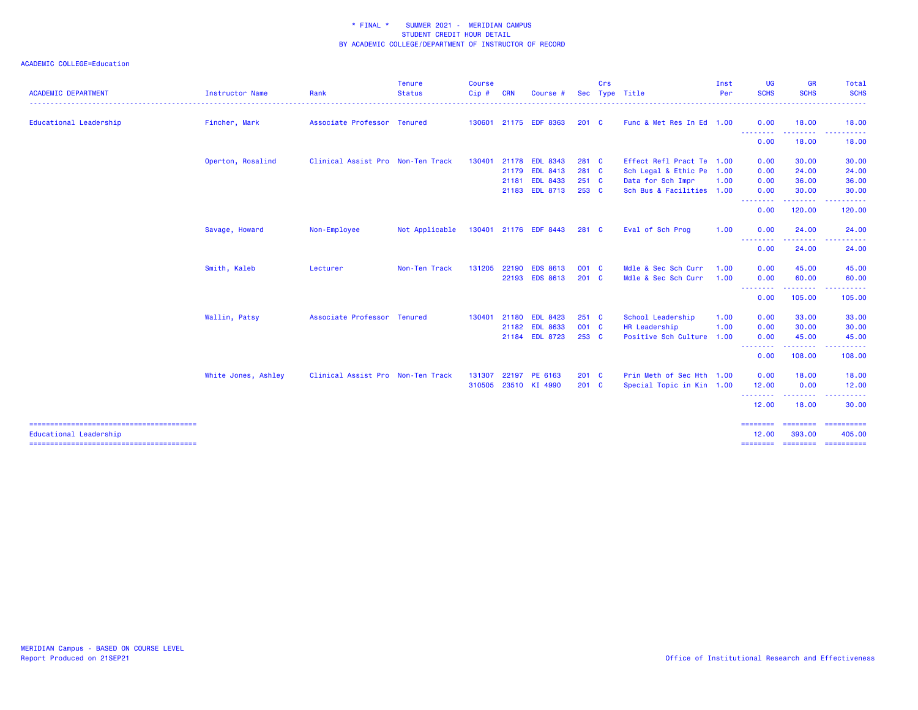| <b>ACADEMIC DEPARTMENT</b> | Instructor Name     | Rank                              | Tenure<br><b>Status</b> | <b>Course</b><br>Cip# | <b>CRN</b> | Course #              |               | Crs | Sec Type Title            | Inst<br>Per | <b>UG</b><br><b>SCHS</b>        | <b>GR</b><br><b>SCHS</b> | <b>Total</b><br><b>SCHS</b>    |
|----------------------------|---------------------|-----------------------------------|-------------------------|-----------------------|------------|-----------------------|---------------|-----|---------------------------|-------------|---------------------------------|--------------------------|--------------------------------|
| Educational Leadership     | Fincher, Mark       | Associate Professor Tenured       |                         |                       |            | 130601 21175 EDF 8363 | $201 \quad C$ |     | Func & Met Res In Ed 1.00 |             | 0.00                            | 18.00                    | 18.00                          |
|                            |                     |                                   |                         |                       |            |                       |               |     |                           |             | <u> - - - - - - - -</u><br>0.00 | 18.00                    | ------<br>18.00                |
|                            | Operton, Rosalind   | Clinical Assist Pro Non-Ten Track |                         | 130401                |            | 21178 EDL 8343        | 281 C         |     | Effect Refl Pract Te 1.00 |             | 0.00                            | 30.00                    | 30.00                          |
|                            |                     |                                   |                         |                       |            | 21179 EDL 8413        | 281 C         |     | Sch Legal & Ethic Pe 1.00 |             | 0.00                            | 24.00                    | 24.00                          |
|                            |                     |                                   |                         |                       |            | 21181 EDL 8433        | $251\quad C$  |     | Data for Sch Impr         | 1.00        | 0.00                            | 36.00                    | 36.00                          |
|                            |                     |                                   |                         |                       |            | 21183 EDL 8713        | 253 C         |     | Sch Bus & Facilities 1.00 |             | 0.00                            | 30.00<br>.               | 30.00                          |
|                            |                     |                                   |                         |                       |            |                       |               |     |                           |             | --------<br>0.00                | 120.00                   | <b></b><br>120.00              |
|                            | Savage, Howard      | Non-Employee                      | Not Applicable          |                       |            | 130401 21176 EDF 8443 | 281 C         |     | Eval of Sch Prog          | 1.00        | 0.00                            | 24.00                    | 24.00                          |
|                            |                     |                                   |                         |                       |            |                       |               |     |                           |             | - - - - - - - -<br>0.00         | .<br>24.00               | 24.00                          |
|                            | Smith, Kaleb        | Lecturer                          | Non-Ten Track           | 131205                |            | 22190 EDS 8613        | 001 C         |     | Mdle & Sec Sch Curr       | 1.00        | 0.00                            | 45.00                    | 45.00                          |
|                            |                     |                                   |                         |                       |            | 22193 EDS 8613        | $201 \quad C$ |     | Mdle & Sec Sch Curr       | 1.00        | 0.00                            | 60.00                    | 60.00                          |
|                            |                     |                                   |                         |                       |            |                       |               |     |                           |             | --------<br>0.00                | . <b>.</b> .<br>105.00   | 105.00                         |
|                            | Wallin, Patsy       | Associate Professor Tenured       |                         | 130401                | 21180      | <b>EDL 8423</b>       | $251$ C       |     | School Leadership         | 1.00        | 0.00                            | 33.00                    | 33.00                          |
|                            |                     |                                   |                         |                       |            | 21182 EDL 8633        | 001 C         |     | HR Leadership             | 1.00        | 0.00                            | 30.00                    | 30.00                          |
|                            |                     |                                   |                         |                       |            | 21184 EDL 8723        | 253 C         |     | Positive Sch Culture      | 1.00        | 0.00<br>---------               | 45.00<br>---------       | 45.00<br><u>.</u>              |
|                            |                     |                                   |                         |                       |            |                       |               |     |                           |             | 0.00                            | 108.00                   | 108.00                         |
|                            | White Jones, Ashley | Clinical Assist Pro Non-Ten Track |                         | 131307                |            | 22197 PE 6163         | $201$ C       |     | Prin Meth of Sec Hth 1.00 |             | 0.00                            | 18.00                    | 18.00                          |
|                            |                     |                                   |                         | 310505                |            | 23510 KI 4990         | $201 \quad C$ |     | Special Topic in Kin 1.00 |             | 12.00<br><u>.</u>               | 0.00                     | 12.00                          |
|                            |                     |                                   |                         |                       |            |                       |               |     |                           |             | 12.00                           | --------<br>18.00        | . <u>.</u> .<br>30.00          |
| Educational Leadership     |                     |                                   |                         |                       |            |                       |               |     |                           |             | ---------<br>12.00              | 393.00                   | ======== ==========<br>405.00  |
|                            |                     |                                   |                         |                       |            |                       |               |     |                           |             |                                 |                          | ========= ========= ========== |